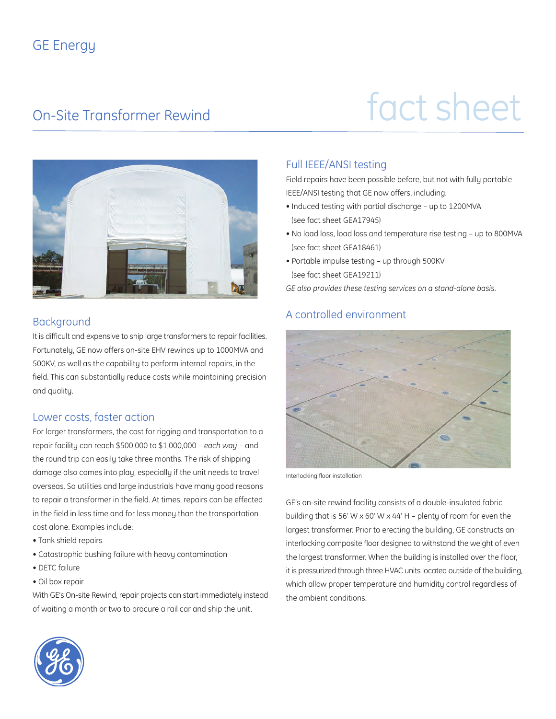### GE Energy

# On-Site Transformer Rewind fact sheet



#### **Background**

It is difficult and expensive to ship large transformers to repair facilities. Fortunately, GE now offers on-site EHV rewinds up to 1000MVA and 500KV, as well as the capability to perform internal repairs, in the field. This can substantially reduce costs while maintaining precision and quality.

#### Lower costs, faster action

For larger transformers, the cost for rigging and transportation to a repair facility can reach \$500,000 to \$1,000,000 – *each way –* and the round trip can easily take three months. The risk of shipping damage also comes into play, especially if the unit needs to travel overseas. So utilities and large industrials have many good reasons to repair a transformer in the field. At times, repairs can be effected in the field in less time and for less money than the transportation cost alone. Examples include:

- Tank shield repairs
- Catastrophic bushing failure with heavy contamination
- DETC failure
- Oil box repair

With GE's On-site Rewind, repair projects can start immediately instead of waiting a month or two to procure a rail car and ship the unit.

### Full IEEE/ANSI testing

Field repairs have been possible before, but not with fully portable IEEE/ANSI testing that GE now offers, including:

- Induced testing with partial discharge up to 1200MVA (see fact sheet GEA17945)
- No load loss, load loss and temperature rise testing up to 800MVA (see fact sheet GEA18461)
- Portable impulse testing up through 500KV (see fact sheet GEA19211)

*GE also provides these testing services on a stand-alone basis.*

#### A controlled environment



Interlocking floor installation

GE's on-site rewind facility consists of a double-insulated fabric building that is 56' W  $\times$  60' W  $\times$  44' H – plenty of room for even the largest transformer. Prior to erecting the building, GE constructs an interlocking composite floor designed to withstand the weight of even the largest transformer. When the building is installed over the floor, it is pressurized through three HVAC units located outside of the building, which allow proper temperature and humidity control regardless of the ambient conditions.